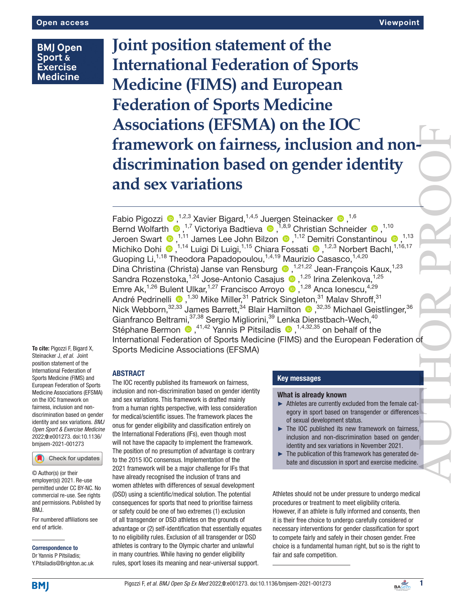# **BMJ Open Sport & Exercise Medicine**

**Joint position statement of the International Federation of Sports Medicine (FIMS) and European Federation of Sports Medicine Associations (EFSMA) on the IOC framework on fairness, inclusion and nondiscrimination based on gender identity and sex variations** AUTHOR PROOF

Fabio Pigozzi <sup>®</sup>,<sup>1,2,3</sup> Xavier Bigard,<sup>1,4,5</sup> Juergen Steinacker <sup>®</sup>,<sup>1,6</sup> BerndWolfarth  $\bigcirc$ ,<sup>1,7</sup> Victoriya Badtieva  $\bigcirc$ ,<sup>1,8,9</sup> Christian Schneider  $\bigcirc$ ,<sup>1,10</sup> JeroenSwart  $\bullet$  ,<sup>1,11</sup> James Lee John Bilzon  $\bullet$  ,<sup>1,12</sup> Demitri Constantinou  $\bullet$  ,<sup>1,13</sup> MichikoDohi <sup>(1,14</sup> Luigi Di Luigi,<sup>1,15</sup> Chiara Fossati (2,<sup>1,2,3</sup> Norbert Bachl,<sup>1,16,17</sup> Guoping Li,<sup>1,18</sup> Theodora Papadopoulou,<sup>1,4,19</sup> Maurizio Casasco,<sup>1,4,20</sup> Dina Christina (Christa) Janse van Rensburg (b. 1,21,22 Jean-François Kaux, 1,23 Sandra Rozenstoka,<sup>1,24</sup> Jose-Antonio Casajus <sup>1,25</sup> Irina Zelenkova,<sup>1,25</sup> Emre Ak,<sup>1,26</sup> Bulent Ulkar,<sup>1,27</sup> Francisco Arroyo <sup>(D)</sup>,<sup>1,28</sup> Anca Ionescu,<sup>4,29</sup> AndréPedrinelli <sup>®</sup>,<sup>1,30</sup> Mike Miller,<sup>31</sup> Patrick Singleton,<sup>31</sup> Malav Shroff,<sup>31</sup> NickWebborn,<sup>32,33</sup> James Barrett,<sup>34</sup> Blair Hamilton (D, 32,35 Michael Geistlinger, <sup>36</sup> Gianfranco Beltrami, 37,38 Sergio Migliorini, <sup>39</sup> Lenka Dienstbach-Wech, <sup>40</sup> StéphaneBermon  $\bullet$ , <sup>41,42</sup> Yannis P Pitsiladis  $\bullet$ , <sup>1,4,32,35</sup> on behalf of the International Federation of Sports Medicine (FIMS) and the European Federation of To cite: Pigozzi F, Bigard X, Sports Medicine Associations (EFSMA)

International Federation of Sports Medicine (FIMS) and European Federation of Sports Medicine Associations (EFSMA) on the IOC framework on fairness, inclusion and nondiscrimination based on gender identity and sex variations. *BMJ Open Sport & Exercise Medicine* 2022;0:e001273. doi:10.1136/ bmjsem-2021-001273

Steinacker J, *et al*. Joint position statement of the

#### Check for updates

© Author(s) (or their employer(s)) 2021. Re-use permitted under CC BY-NC. No commercial re-use. See rights and permissions. Published by BMJ.

For numbered affiliations see end of article.

Correspondence to Dr Yannis P Pitsiladis; Y.Pitsiladis@Brighton.ac.uk

# ABSTRACT

The IOC recently published its framework on fairness, inclusion and non-discrimination based on gender identity and sex variations. This framework is drafted mainly from a human rights perspective, with less consideration for medical/scientific issues. The framework places the onus for gender eligibility and classification entirely on the International Federations (IFs), even though most will not have the capacity to implement the framework. The position of no presumption of advantage is contrary to the 2015 IOC consensus. Implementation of the 2021 framework will be a major challenge for IFs that have already recognised the inclusion of trans and women athletes with differences of sexual development (DSD) using a scientific/medical solution. The potential consequences for sports that need to prioritise fairness or safety could be one of two extremes (1) exclusion of all transgender or DSD athletes on the grounds of advantage or (2) self-identification that essentially equates to no eligibility rules. Exclusion of all transgender or DSD athletes is contrary to the Olympic charter and unlawful in many countries. While having no gender eligibility rules, sport loses its meaning and near-universal support.

# Key messages

#### What is already known

- ► Athletes are currently excluded from the female category in sport based on transgender or differences of sexual development status.
- ► The IOC published its new framework on fairness, inclusion and non-discrimination based on gender identity and sex variations in November 2021.
- ► The publication of this framework has generated debate and discussion in sport and exercise medicine.

Athletes should not be under pressure to undergo medical procedures or treatment to meet eligibility criteria. However, if an athlete is fully informed and consents, then it is their free choice to undergo carefully considered or necessary interventions for gender classification for sport to compete fairly and safely in their chosen gender. Free choice is a fundamental human right, but so is the right to fair and safe competition.

**BMJ**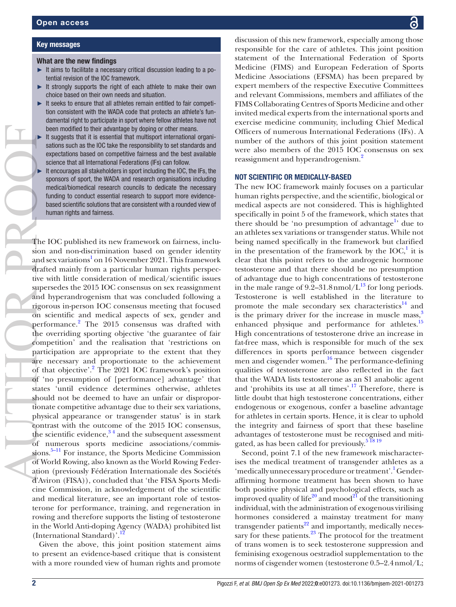Key messages

# What are the new findings

- ► It aims to facilitate a necessary critical discussion leading to a potential revision of the IOC framework.
- It strongly supports the right of each athlete to make their own choice based on their own needs and situation.
- It seeks to ensure that all athletes remain entitled to fair competition consistent with the WADA code that protects an athlete's fundamental right to participate in sport where fellow athletes have not been modified to their advantage by doping or other means.
- It suggests that it is essential that multisport international organisations such as the IOC take the responsibility to set standards and expectations based on competitive fairness and the best available science that all International Federations (IFs) can follow.
- It encourages all stakeholders in sport including the IOC, the IFs, the sponsors of sport, the WADA and research organisations including medical/biomedical research councils to dedicate the necessary funding to conduct essential research to support more evidencebased scientific solutions that are consistent with a rounded view of human rights and fairness.

The IOC published its new framework on fairness, inclusion and non-discrimination based on gender identity and sex variations<sup>[1](#page-5-0)</sup> on 16 November 2021. This framework drafted mainly from a particular human rights perspective with little consideration of medical/scientific issues supersedes the 2015 IOC consensus on sex reassignment and hyperandrogenism that was concluded following a rigorous in-person IOC consensus meeting that focused on scientific and medical aspects of sex, gender and performance.<sup>[2](#page-5-1)</sup> The 2015 consensus was drafted with the overriding sporting objective 'the guarantee of fair competition' and the realisation that 'restrictions on participation are appropriate to the extent that they are necessary and proportionate to the achievement of that objective'.<sup>2</sup> The 2021 IOC framework's position of 'no presumption of [performance] advantage' that states 'until evidence determines otherwise, athletes should not be deemed to have an unfair or disproportionate competitive advantage due to their sex variations, physical appearance or transgender status' is in stark contrast with the outcome of the 2015 IOC consensus, the scientific evidence, $3^4$  and the subsequent assessment of numerous sports medicine associations/commissions.<sup>5–11</sup> For instance, the Sports Medicine Commission of World Rowing, also known as the World Rowing Federation (previously Fédération Internationale des Sociétés d'Aviron (FISA)), concluded that 'the FISA Sports Medicine Commission, in acknowledgement of the scientific and medical literature, see an important role of testosterone for performance, training, and regeneration in rowing and therefore supports the listing of testosterone in the World Anti-doping Agency (WADA) prohibited list (International Standard)'.

Given the above, this joint position statement aims to present an evidence-based critique that is consistent with a more rounded view of human rights and promote

discussion of this new framework, especially among those responsible for the care of athletes. This joint position statement of the International Federation of Sports Medicine (FIMS) and European Federation of Sports Medicine Associations (EFSMA) has been prepared by expert members of the respective Executive Committees and relevant Commissions, members and affiliates of the FIMS Collaborating Centres of Sports Medicine and other invited medical experts from the international sports and exercise medicine community, including Chief Medical Officers of numerous International Federations (IFs). A number of the authors of this joint position statement were also members of the 2015 IOC consensus on sex reassignment and hyperandrogenism.<sup>2</sup>

### NOT SCIENTIFIC OR MEDICALLY-BASED

The new IOC framework mainly focuses on a particular human rights perspective, and the scientific, biological or medical aspects are not considered. This is highlighted specifically in point 5 of the framework, which states that there should be 'no presumption of advantage<sup>1</sup> due to an athletes sex variations or transgender status. While not being named specifically in the framework but clarified in the presentation of the framework by the  $IOC<sub>i</sub><sup>1</sup>$  $IOC<sub>i</sub><sup>1</sup>$  $IOC<sub>i</sub><sup>1</sup>$  it is clear that this point refers to the androgenic hormone testosterone and that there should be no presumption of advantage due to high concentrations of testosterone in the male range of  $9.2-31.8$  nmol/ $L^{13}$  for long periods. Testosterone is well established in the literature to promote the male secondary sex characteristics $^{14}$  and is the primary driver for the increase in muscle mass, $3$ enhanced physique and performance for athletes.<sup>15</sup> High concentrations of testosterone drive an increase in fat-free mass, which is responsible for much of the sex differences in sports performance between cisgender men and cisgender women.<sup>16</sup> The performance-defining qualities of testosterone are also reflected in the fact that the WADA lists testosterone as an S1 anabolic agent and 'prohibits its use at all times'.[17](#page-5-9) Therefore, there is little doubt that high testosterone concentrations, either endogenous or exogenous, confer a baseline advantage for athletes in certain sports. Hence, it is clear to uphold the integrity and fairness of sport that these baseline advantages of testosterone must be recognised and mitigated, as has been called for previously. $51819$ 

Second, point 7.1 of the new framework mischaracterises the medical treatment of transgender athletes as a 'medically unnecessary procedure or treatment'.<sup>1</sup> Genderaffirming hormone treatment has been shown to have both positive physical and psychological effects, such as improved quality of life<sup>20</sup> and mood<sup>21</sup> of the transitioning individual, with the administration of exogenous virilising hormones considered a mainstay treatment for many transgender patients<sup>22</sup> and importantly, medically necessary for these patients. $23$  The protocol for the treatment of trans women is to seek testosterone suppression and feminising exogenous oestradiol supplementation to the norms of cisgender women (testosterone 0.5–2.4nmol/L;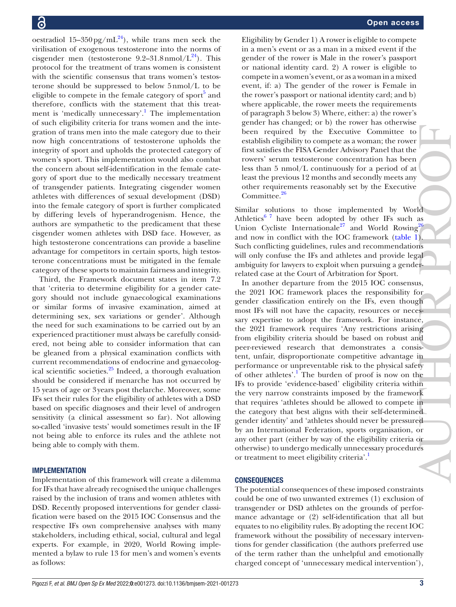oestradiol 15–350 pg/mL<sup>24</sup>), while trans men seek the virilisation of exogenous testosterone into the norms of cisgender men (testosterone  $9.2-31.8$ nmol/L<sup>24</sup>). This protocol for the treatment of trans women is consistent with the scientific consensus that trans women's testosterone should be suppressed to below 5nmol/L to be eligible to compete in the female category of sport<sup>[5](#page-5-3)</sup> and therefore, conflicts with the statement that this treat-ment is 'medically unnecessary'.<sup>[1](#page-5-0)</sup> The implementation of such eligibility criteria for trans women and the integration of trans men into the male category due to their now high concentrations of testosterone upholds the integrity of sport and upholds the protected category of women's sport. This implementation would also combat the concern about self-identification in the female category of sport due to the medically necessary treatment of transgender patients. Integrating cisgender women athletes with differences of sexual development (DSD) into the female category of sport is further complicated by differing levels of hyperandrogenism. Hence, the authors are sympathetic to the predicament that these cisgender women athletes with DSD face. However, as high testosterone concentrations can provide a baseline advantage for competitors in certain sports, high testosterone concentrations must be mitigated in the female category of these sports to maintain fairness and integrity.

Third, the Framework document states in item 7.2 that 'criteria to determine eligibility for a gender category should not include gynaecological examinations or similar forms of invasive examination, aimed at determining sex, sex variations or gender'. Although the need for such examinations to be carried out by an experienced practitioner must always be carefully considered, not being able to consider information that can be gleaned from a physical examination conflicts with current recommendations of endocrine and gynaecological scientific societies. $25$  Indeed, a thorough evaluation should be considered if menarche has not occurred by 15 years of age or 3years post thelarche. Moreover, some IFs set their rules for the eligibility of athletes with a DSD based on specific diagnoses and their level of androgen sensitivity (a clinical assessment so far). Not allowing so-called 'invasive tests' would sometimes result in the IF not being able to enforce its rules and the athlete not being able to comply with them.

### IMPLEMENTATION

Implementation of this framework will create a dilemma for IFs that have already recognised the unique challenges raised by the inclusion of trans and women athletes with DSD. Recently proposed interventions for gender classification were based on the 2015 IOC Consensus and the respective IFs own comprehensive analyses with many stakeholders, including ethical, social, cultural and legal experts. For example, in 2020, World Rowing implemented a bylaw to rule 13 for men's and women's events as follows:

Eligibility by Gender 1) A rower is eligible to compete in a men's event or as a man in a mixed event if the gender of the rower is Male in the rower's passport or national identity card. 2) A rower is eligible to compete in a women's event, or as a woman in a mixed event, if: a) The gender of the rower is Female in the rower's passport or national identity card; and b) where applicable, the rower meets the requirements of paragraph 3 below 3) Where, either: a) the rower's gender has changed; or b) the rower has otherwise been required by the Executive Committee to establish eligibility to compete as a woman; the rower first satisfies the FISA Gender Advisory Panel that the rowers' serum testosterone concentration has been less than 5 nmol/L continuously for a period of at least the previous 12 months and secondly meets any other requirements reasonably set by the Executive Committee.<sup>26</sup>

Similar solutions to those implemented by World Athletics<sup>[6 7](#page-5-17)</sup> have been adopted by other IFs such as Union Cycliste Internationale<sup>27</sup> and World Rowing<sup>26</sup> and now in conflict with the IOC framework ([table](#page-3-0) 1). Such conflicting guidelines, rules and recommendations will only confuse the IFs and athletes and provide legal ambiguity for lawyers to exploit when pursuing a genderrelated case at the Court of Arbitration for Sport.

In another departure from the 2015 IOC consensus, the 2021 IOC framework places the responsibility for gender classification entirely on the IFs, even though most IFs will not have the capacity, resources or necessary expertise to adopt the framework. For instance, the 2021 framework requires 'Any restrictions arising from eligibility criteria should be based on robust and peer-reviewed research that demonstrates a consistent, unfair, disproportionate competitive advantage in performance or unpreventable risk to the physical safety of other athletes'.<sup>[1](#page-5-0)</sup> The burden of proof is now on the IFs to provide 'evidence-based' eligibility criteria within the very narrow constraints imposed by the framework that requires 'athletes should be allowed to compete in the category that best aligns with their self-determined gender identity' and 'athletes should never be pressured by an International Federation, sports organisation, or any other part (either by way of the eligibility criteria or otherwise) to undergo medically unnecessary procedures or treatment to meet eligibility criteria'.<sup>[1](#page-5-0)</sup> been required by the Executive Committee to chosibite clip<br>distributive to compare as a woman; the trower first statisfies the FISA Gender Advisory Panel that the<br>less than 5 nm/L/L continuously for a period of at<br>less th

# **CONSEQUENCES**

The potential consequences of these imposed constraints could be one of two unwanted extremes (1) exclusion of transgender or DSD athletes on the grounds of performance advantage or (2) self-identification that all but equates to no eligibility rules. By adopting the recent IOC framework without the possibility of necessary interventions for gender classification (the authors preferred use of the term rather than the unhelpful and emotionally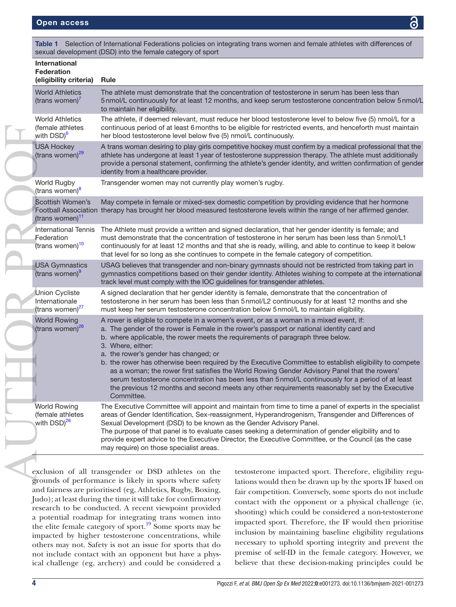| <b>International</b><br><b>Federation</b><br>(eligibility criteria)      | <b>Rule</b>                                                                                                                                                                                                                                                                                                                                                                                                                                                                                                                                                                                                                                                                                                                                                            |
|--------------------------------------------------------------------------|------------------------------------------------------------------------------------------------------------------------------------------------------------------------------------------------------------------------------------------------------------------------------------------------------------------------------------------------------------------------------------------------------------------------------------------------------------------------------------------------------------------------------------------------------------------------------------------------------------------------------------------------------------------------------------------------------------------------------------------------------------------------|
| <b>World Athletics</b><br>(trans women) <sup>7</sup>                     | The athlete must demonstrate that the concentration of testosterone in serum has been less than<br>5nmol/L continuously for at least 12 months, and keep serum testosterone concentration below 5nmol/L<br>to maintain her eligibility.                                                                                                                                                                                                                                                                                                                                                                                                                                                                                                                                |
| <b>World Athletics</b><br>(female athletes<br>with DSD) <sup>6</sup>     | The athlete, if deemed relevant, must reduce her blood testosterone level to below five (5) nmol/L for a<br>continuous period of at least 6 months to be eligible for restricted events, and henceforth must maintain<br>her blood testosterone level below five (5) nmol/L continuously.                                                                                                                                                                                                                                                                                                                                                                                                                                                                              |
| <b>USA Hockey</b><br>(trans women) <sup>29</sup>                         | A trans woman desiring to play girls competitive hockey must confirm by a medical professional that the<br>athlete has undergone at least 1 year of testosterone suppression therapy. The athlete must additionally<br>provide a personal statement, confirming the athlete's gender identity, and written confirmation of gender<br>identity from a healthcare provider.                                                                                                                                                                                                                                                                                                                                                                                              |
| World Rugby<br>(trans women) <sup>8</sup>                                | Transgender women may not currently play women's rugby.                                                                                                                                                                                                                                                                                                                                                                                                                                                                                                                                                                                                                                                                                                                |
| Scottish Women's<br>(trans women) <sup>11</sup>                          | May compete in female or mixed-sex domestic competition by providing evidence that her hormone<br>Football Association therapy has brought her blood measured testosterone levels within the range of her affirmed gender.                                                                                                                                                                                                                                                                                                                                                                                                                                                                                                                                             |
| <b>International Tennis</b><br>Federation<br>(trans women) <sup>10</sup> | The Athlete must provide a written and signed declaration, that her gender identity is female; and<br>must demonstrate that the concentration of testosterone in her serum has been less than 5 nmol/L1<br>continuously for at least 12 months and that she is ready, willing, and able to continue to keep it below<br>that level for so long as she continues to compete in the female category of competition.                                                                                                                                                                                                                                                                                                                                                      |
| <b>USA Gymnastics</b><br>(trans women) <sup>9</sup>                      | USAG believes that transgender and non-binary gymnasts should not be restricted from taking part in<br>gymnastics competitions based on their gender identity. Athletes wishing to compete at the international<br>track level must comply with the IOC guidelines for transgender athletes.                                                                                                                                                                                                                                                                                                                                                                                                                                                                           |
| <b>Union Cycliste</b><br>Internationale<br>(trans women) <sup>27</sup>   | A signed declaration that her gender identity is female, demonstrate that the concentration of<br>testosterone in her serum has been less than 5 nmol/L2 continuously for at least 12 months and she<br>must keep her serum testosterone concentration below 5 nmol/L to maintain eligibility.                                                                                                                                                                                                                                                                                                                                                                                                                                                                         |
| <b>World Rowing</b><br>(trans women) <sup>26</sup>                       | A rower is eligible to compete in a women's event, or as a woman in a mixed event, if:<br>a. The gender of the rower is Female in the rower's passport or national identity card and<br>b. where applicable, the rower meets the requirements of paragraph three below.<br>3. Where, either:<br>a. the rower's gender has changed; or<br>b. the rower has otherwise been required by the Executive Committee to establish eligibility to compete<br>as a woman; the rower first satisfies the World Rowing Gender Advisory Panel that the rowers'<br>serum testosterone concentration has been less than 5nmol/L continuously for a period of at least<br>the previous 12 months and second meets any other requirements reasonably set by the Executive<br>Committee. |
| <b>World Rowing</b><br>(female athletes<br>with DSD) <sup>26</sup>       | The Executive Committee will appoint and maintain from time to time a panel of experts in the specialist<br>areas of Gender Identification, Sex-reassignment, Hyperandrogenism, Transgender and Differences of<br>Sexual Development (DSD) to be known as the Gender Advisory Panel.<br>The purpose of that panel is to evaluate cases seeking a determination of gender eligibility and to<br>provide expert advice to the Executive Director, the Executive Committee, or the Council (as the case<br>may require) on those specialist areas.                                                                                                                                                                                                                        |

<span id="page-3-0"></span>Table 1 Selection of International Federations policies on integrating trans women and female athletes with differences of

exclusion of all transgender or DSD athletes on the grounds of performance is likely in sports where safety and fairness are prioritised (eg, Athletics, Rugby, Boxing, Judo); at least during the time it will take for confirmatory research to be conducted. A recent viewpoint provided a potential roadmap for integrating trans women into the elite female category of sport.<sup>[19](#page-5-19)</sup> Some sports may be impacted by higher testosterone concentrations, while others may not. Safety is not an issue for sports that do not include contact with an opponent but have a physical challenge (eg, archery) and could be considered a

testosterone impacted sport. Therefore, eligibility regulations would then be drawn up by the sports IF based on fair competition. Conversely, some sports do not include contact with the opponent or a physical challenge (ie, shooting) which could be considered a non-testosterone impacted sport. Therefore, the IF would then prioritise inclusion by maintaining baseline eligibility regulations necessary to uphold sporting integrity and prevent the premise of self-ID in the female category. However, we believe that these decision-making principles could be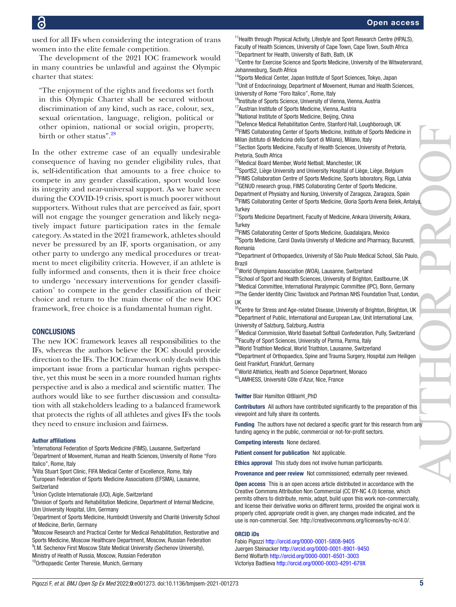used for all IFs when considering the integration of trans women into the elite female competition.

The development of the 2021 IOC framework would in many countries be unlawful and against the Olympic charter that states:

"The enjoyment of the rights and freedoms set forth in this Olympic Charter shall be secured without discrimination of any kind, such as race, colour, sex, sexual orientation, language, religion, political or other opinion, national or social origin, property, birth or other status".<sup>[28](#page-5-26)</sup>

In the other extreme case of an equally undesirable consequence of having no gender eligibility rules, that is, self-identification that amounts to a free choice to compete in any gender classification, sport would lose its integrity and near-universal support. As we have seen during the COVID-19 crisis, sport is much poorer without supporters. Without rules that are perceived as fair, sport will not engage the younger generation and likely negatively impact future participation rates in the female category. As stated in the 2021 framework, athletes should never be pressured by an IF, sports organisation, or any other party to undergo any medical procedures or treatment to meet eligibility criteria. However, if an athlete is fully informed and consents, then it is their free choice to undergo 'necessary interventions for gender classification' to compete in the gender classification of their choice and return to the main theme of the new IOC framework, free choice is a fundamental human right.

#### **CONCLUSIONS**

The new IOC framework leaves all responsibilities to the IFs, whereas the authors believe the IOC should provide direction to the IFs. The IOC framework only deals with this important issue from a particular human rights perspective, yet this must be seen in a more rounded human rights perspective and is also a medical and scientific matter. The authors would like to see further discussion and consultation with all stakeholders leading to a balanced framework that protects the rights of all athletes and gives IFs the tools they need to ensure inclusion and fairness.

#### Author affiliations

<sup>1</sup>International Federation of Sports Medicine (FIMS), Lausanne, Switzerland <sup>2</sup>Department of Movement, Human and Health Sciences, University of Rome "Foro Italico", Rome, Italy

<sup>3</sup>Villa Stuart Sport Clinic, FIFA Medical Center of Excellence, Rome, Italy 4 European Federation of Sports Medicine Associations (EFSMA), Lausanne, Switzerland

<sup>5</sup>Union Cycliste Internationale (UCI), Aigle, Switzerland

<sup>6</sup>Division of Sports and Rehabilitation Medicine, Department of Internal Medicine, Ulm University Hospital, Ulm, Germany

<sup>7</sup>Department of Sports Medicine, Humboldt University and Charité University School of Medicine, Berlin, Germany

<sup>8</sup>Moscow Research and Practical Center for Medical Rehabilitation, Restorative and Sports Medicine, Moscow Healthcare Department, Moscow, Russian Federation <sup>9</sup>I.M. Sechenov First Moscow State Medical University (Sechenov University), Ministry of Health of Russia, Moscow, Russian Federation

<sup>10</sup>Orthopaedic Center Theresie, Munich, Germany

<sup>11</sup> Health through Physical Activity, Lifestyle and Sport Research Centre (HPALS), Faculty of Health Sciences, University of Cape Town, Cape Town, South Africa <sup>12</sup>Department for Health, University of Bath, Bath, UK

 $13$ Centre for Exercise Science and Sports Medicine, University of the Witwatersrand, Johannesburg, South Africa

<sup>14</sup>Sports Medical Center, Japan Institute of Sport Sciences, Tokyo, Japan <sup>15</sup>Unit of Endocrinology, Department of Movement, Human and Health Sciences, University of Rome "Foro Italico", Rome, Italy

<sup>16</sup>Institute of Sports Science, University of Vienna, Vienna, Austria

17 Austrian Institute of Sports Medicine, Vienna, Austria

<sup>18</sup>National Institute of Sports Medicine, Beijing, China

<sup>19</sup>Defence Medical Rehabilitation Centre, Stanford Hall, Loughborough, UK <sup>20</sup>FIMS Collaborating Center of Sports Medicine, Institute of Sports Medicine in Milan (Istituto di Medicina dello Sport di Milano), Milano, Italy

<sup>21</sup> Section Sports Medicine, Faculty of Health Sciences, University of Pretoria, Pretoria, South Africa

<sup>22</sup>Medical Board Member, World Netball, Manchester, UK

<sup>23</sup>SportS2, Liège University and University Hospital of Liège, Liège, Belgium <sup>24</sup>FIMS Collaboration Centre of Sports Medicine, Sports laboratory, Riga, Latvia

<sup>25</sup>GENUD research group, FIMS Collaborating Center of Sports Medicine, Department of Physiatry and Nursing, University of Zaragoza, Zaragoza, Spain <sup>26</sup>FIMS Collaborating Center of Sports Medicine, Gloria Sports Arena Belek, Antalya **Turkey** 

<sup>27</sup> Sports Medicine Department, Faculty of Medicine, Ankara University, Ankara, **Turkey** 

<sup>28</sup>FIMS Collaborating Center of Sports Medicine, Guadalajara, Mexico <sup>29</sup>Sports Medicine, Carol Davila University of Medicine and Pharmacy, Bucuresti,

Romania <sup>30</sup>Department of Orthopaedics, University of São Paulo Medical School, São Paulo, Brazil

<sup>31</sup>World Olympians Association (WOA), Lausanne, Switzerland

32School of Sport and Health Sciences, University of Brighton, Eastbourne, UK  $33$ Medical Committee, International Paralympic Committee (IPC), Bonn, Germany 34The Gender Identity Clinic Tavistock and Portman NHS Foundation Trust, London, UK

<sup>35</sup>Centre for Stress and Age-related Disease, University of Brighton, Birighton, UK 36 Department of Public, International and European Law, Unit International Law, University of Salzburg, Salzburg, Austria

37Medical Commission, World Baseball Softball Confederation, Pully, Switzerland 38Faculty of Sport Sciences, University of Parma, Parma, Italy

39World Triathlon Medical, World Triathlon, Lausanne, Switzerland

40Department of Orthopaedics, Spine and Trauma Surgery, Hospital zum Heiligen Geist Frankfurt, Frankfurt, Germany

41World Athletics, Health and Science Department, Monaco

42LAMHESS, Université Côte d'Azur, Nice, France

Twitter Blair Hamilton [@BlairH\\_PhD](https://twitter.com/BlairH_PhD)

Contributors All authors have contributed significantly to the preparation of this viewpoint and fully share its contents.

Funding The authors have not declared a specific grant for this research from any funding agency in the public, commercial or not-for-profit sectors.

Competing interests None declared.

Patient consent for publication Not applicable.

Ethics approval This study does not involve human participants.

Provenance and peer review Not commissioned; externally peer reviewed.

Open access This is an open access article distributed in accordance with the Creative Commons Attribution Non Commercial (CC BY-NC 4.0) license, which permits others to distribute, remix, adapt, build upon this work non-commercially, and license their derivative works on different terms, provided the original work is properly cited, appropriate credit is given, any changes made indicated, and the use is non-commercial. See:<http://creativecommons.org/licenses/by-nc/4.0/>.

#### ORCID iDs

Fabio Pigozzi<http://orcid.org/0000-0001-5808-9405> Juergen Steinacker<http://orcid.org/0000-0001-8901-9450> Bernd Wolfarth <http://orcid.org/0000-0001-6501-3003> Victoriya Badtieva<http://orcid.org/0000-0003-4291-679X>